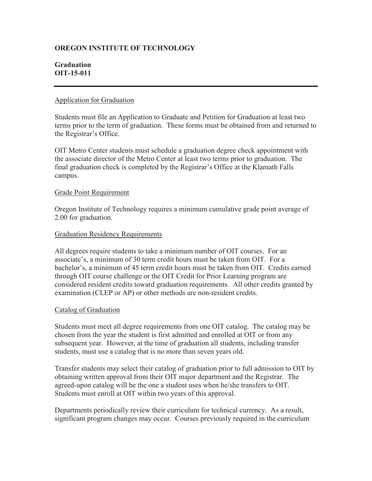# **OREGON INSTITUTE OF TECHNOLOGY**

# **Graduation OIT-15-011**

# Application for Graduation

Students must file an Application to Graduate and Petition for Graduation at least two terms prior to the term of graduation. These forms must be obtained from and returned to the Registrar's Office.

OIT Metro Center students must schedule a graduation degree check appointment with the associate director of the Metro Center at least two terms prior to graduation. The final graduation check is completed by the Registrar's Office at the Klamath Falls campus.

# Grade Point Requirement

Oregon Institute of Technology requires a minimum cumulative grade point average of 2.00 for graduation.

# Graduation Residency Requirements

All degrees require students to take a minimum number of OIT courses. For an associate's, a minimum of 30 term credit hours must be taken from OIT. For a bachelor's, a minimum of 45 term credit hours must be taken from OIT. Credits earned through OIT course challenge or the OIT Credit for Prior Learning program are considered resident credits toward graduation requirements. All other credits granted by examination (CLEP or AP) or other methods are non-resident credits.

# Catalog of Graduation

Students must meet all degree requirements from one OIT catalog. The catalog may be chosen from the year the student is first admitted and enrolled at OIT or from any subsequent year. However, at the time of graduation all students, including transfer students, must use a catalog that is no more than seven years old.

Transfer students may select their catalog of graduation prior to full admission to OIT by obtaining written approval from their OIT major department and the Registrar. The agreed-upon catalog will be the one a student uses when he/she transfers to OIT. Students must enroll at OIT within two years of this approval.

Departments periodically review their curriculum for technical currency. As a result, significant program changes may occur. Courses previously required in the curriculum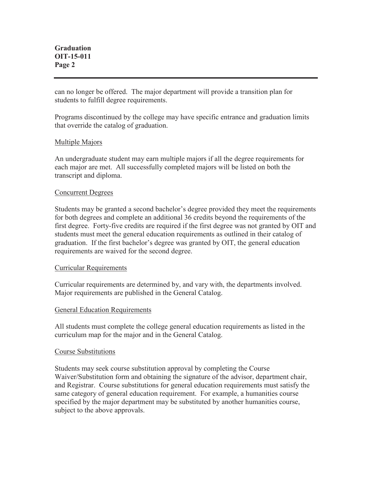**Graduation OIT-15-011 Page 2** 

can no longer be offered. The major department will provide a transition plan for students to fulfill degree requirements.

Programs discontinued by the college may have specific entrance and graduation limits that override the catalog of graduation.

### Multiple Majors

An undergraduate student may earn multiple majors if all the degree requirements for each major are met. All successfully completed majors will be listed on both the transcript and diploma.

### Concurrent Degrees

Students may be granted a second bachelor's degree provided they meet the requirements for both degrees and complete an additional 36 credits beyond the requirements of the first degree. Forty-five credits are required if the first degree was not granted by OIT and students must meet the general education requirements as outlined in their catalog of graduation. If the first bachelor's degree was granted by OIT, the general education requirements are waived for the second degree.

#### Curricular Requirements

Curricular requirements are determined by, and vary with, the departments involved. Major requirements are published in the General Catalog.

# General Education Requirements

All students must complete the college general education requirements as listed in the curriculum map for the major and in the General Catalog.

#### Course Substitutions

Students may seek course substitution approval by completing the Course Waiver/Substitution form and obtaining the signature of the advisor, department chair, and Registrar. Course substitutions for general education requirements must satisfy the same category of general education requirement. For example, a humanities course specified by the major department may be substituted by another humanities course, subject to the above approvals.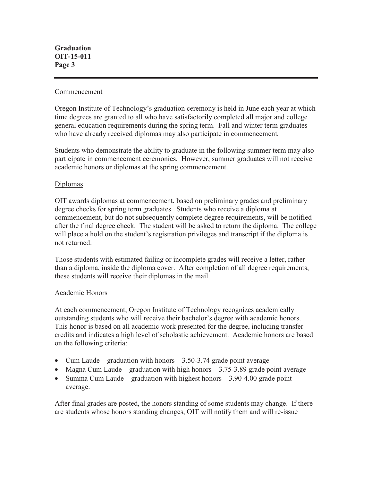### Commencement

Oregon Institute of Technology's graduation ceremony is held in June each year at which time degrees are granted to all who have satisfactorily completed all major and college general education requirements during the spring term. Fall and winter term graduates who have already received diplomas may also participate in commencement*.*

Students who demonstrate the ability to graduate in the following summer term may also participate in commencement ceremonies. However, summer graduates will not receive academic honors or diplomas at the spring commencement.

# Diplomas

OIT awards diplomas at commencement, based on preliminary grades and preliminary degree checks for spring term graduates. Students who receive a diploma at commencement, but do not subsequently complete degree requirements, will be notified after the final degree check. The student will be asked to return the diploma. The college will place a hold on the student's registration privileges and transcript if the diploma is not returned.

Those students with estimated failing or incomplete grades will receive a letter, rather than a diploma, inside the diploma cover. After completion of all degree requirements, these students will receive their diplomas in the mail.

# Academic Honors

At each commencement, Oregon Institute of Technology recognizes academically outstanding students who will receive their bachelor's degree with academic honors. This honor is based on all academic work presented for the degree, including transfer credits and indicates a high level of scholastic achievement. Academic honors are based on the following criteria:

- Cum Laude graduation with honors  $-3.50$ -3.74 grade point average
- Magna Cum Laude graduation with high honors  $-3.75-3.89$  grade point average
- Summa Cum Laude graduation with highest honors 3.90-4.00 grade point average.

After final grades are posted, the honors standing of some students may change. If there are students whose honors standing changes, OIT will notify them and will re-issue